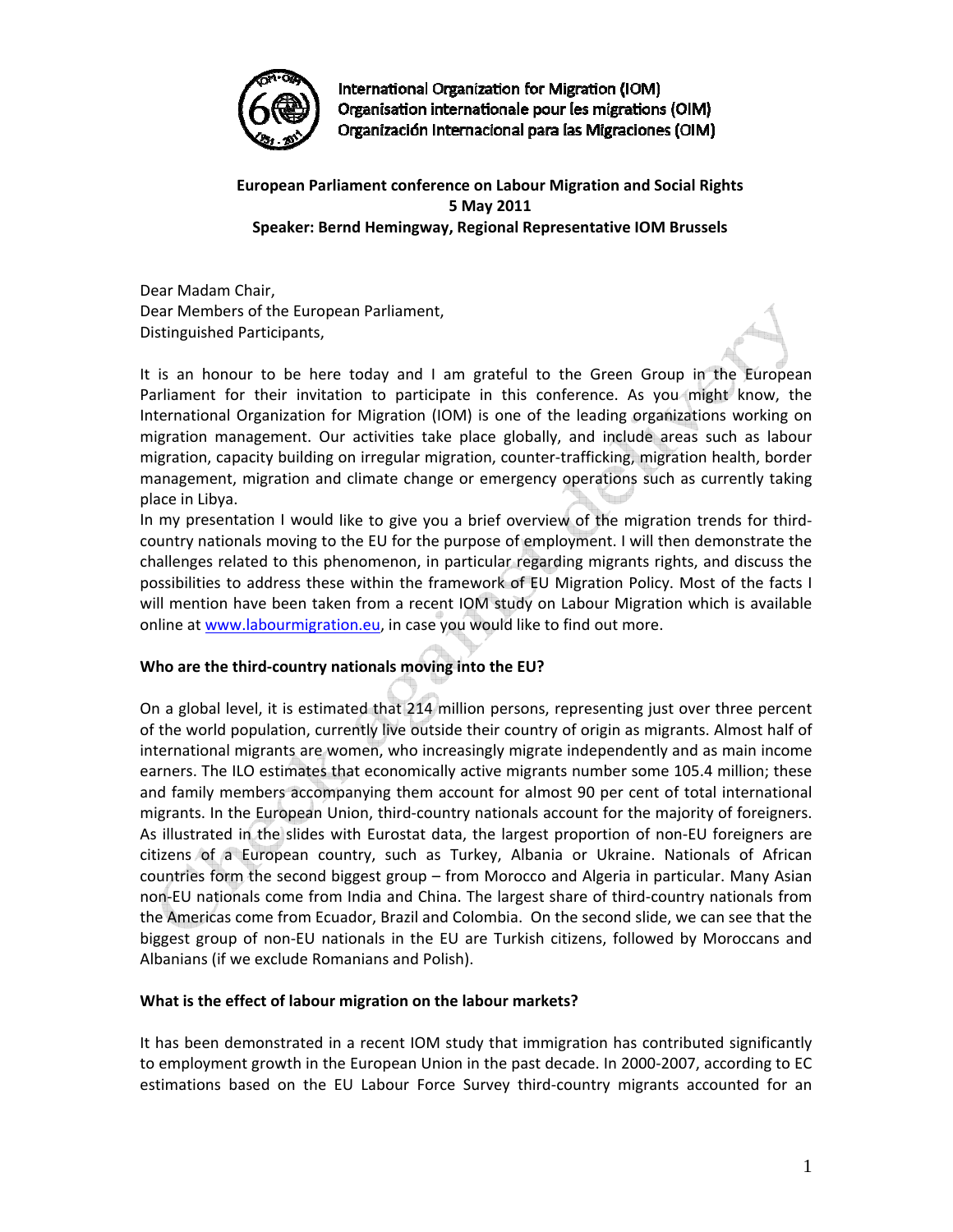

International Organization for Migration (IOM) Organisation internationale pour les migrations (OIM) Organización Internacional para las Migraciones (OIM)

**European Parliament conference on Labour Migration and Social Rights 5 May 2011 Speaker: Bernd Hemingway, Regional Representative IOM Brussels**

Dear Madam Chair, Dear Members of the European Parliament, Distinguished Participants,

It is an honour to be here today and I am grateful to the Green Group in the European Parliament for their invitation to participate in this conference. As you might know, the International Organization for Migration (IOM) is one of the leading organizations working on migration management. Our activities take place globally, and include areas such as labour migration, capacity building on irregular migration, counter‐trafficking, migration health, border management, migration and climate change or emergency operations such as currently taking place in Libya.

In my presentation I would like to give you a brief overview of the migration trends for thirdcountry nationals moving to the EU for the purpose of employment. I will then demonstrate the challenges related to this phenomenon, in particular regarding migrants rights, and discuss the possibilities to address these within the framework of EU Migration Policy. Most of the facts I will mention have been taken from a recent IOM study on Labour Migration which is available online at www.labourmigration.eu, in case you would like to find out more.

# **Who are the third‐country nationals moving into the EU?**

On a global level, it is estimated that 214 million persons, representing just over three percent of the world population, currently live outside their country of origin as migrants. Almost half of international migrants are women, who increasingly migrate independently and as main income earners. The ILO estimates that economically active migrants number some 105.4 million; these and family members accompanying them account for almost 90 per cent of total international migrants. In the European Union, third-country nationals account for the majority of foreigners. As illustrated in the slides with Eurostat data, the largest proportion of non-EU foreigners are citizens of a European country, such as Turkey, Albania or Ukraine. Nationals of African countries form the second biggest group – from Morocco and Algeria in particular. Many Asian non‐EU nationals come from India and China. The largest share of third‐country nationals from the Americas come from Ecuador, Brazil and Colombia. On the second slide, we can see that the biggest group of non‐EU nationals in the EU are Turkish citizens, followed by Moroccans and Albanians (if we exclude Romanians and Polish).

## **What is the effect of labour migration on the labour markets?**

It has been demonstrated in a recent IOM study that immigration has contributed significantly to employment growth in the European Union in the past decade. In 2000‐2007, according to EC estimations based on the EU Labour Force Survey third‐country migrants accounted for an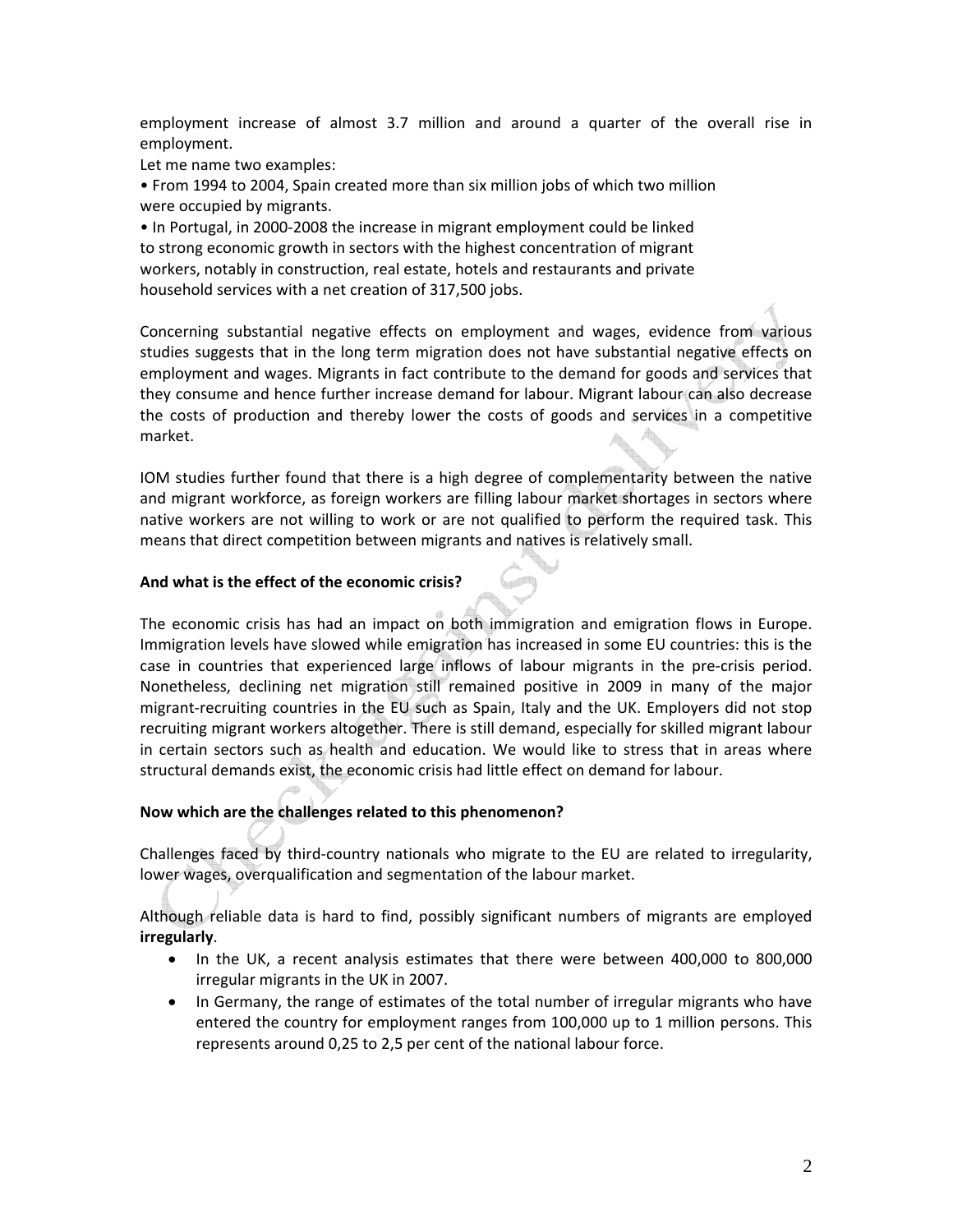employment increase of almost 3.7 million and around a quarter of the overall rise in employment.

Let me name two examples:

• From 1994 to 2004, Spain created more than six million jobs of which two million were occupied by migrants.

• In Portugal, in 2000‐2008 the increase in migrant employment could be linked to strong economic growth in sectors with the highest concentration of migrant workers, notably in construction, real estate, hotels and restaurants and private household services with a net creation of 317,500 jobs.

Concerning substantial negative effects on employment and wages, evidence from various studies suggests that in the long term migration does not have substantial negative effects on employment and wages. Migrants in fact contribute to the demand for goods and services that they consume and hence further increase demand for labour. Migrant labour can also decrease the costs of production and thereby lower the costs of goods and services in a competitive market.

IOM studies further found that there is a high degree of complementarity between the native and migrant workforce, as foreign workers are filling labour market shortages in sectors where native workers are not willing to work or are not qualified to perform the required task. This means that direct competition between migrants and natives is relatively small.

## **And what is the effect of the economic crisis?**

The economic crisis has had an impact on both immigration and emigration flows in Europe. Immigration levels have slowed while emigration has increased in some EU countries: this is the case in countries that experienced large inflows of labour migrants in the pre-crisis period. Nonetheless, declining net migration still remained positive in 2009 in many of the major migrant‐recruiting countries in the EU such as Spain, Italy and the UK. Employers did not stop recruiting migrant workers altogether. There is still demand, especially for skilled migrant labour in certain sectors such as health and education. We would like to stress that in areas where structural demands exist, the economic crisis had little effect on demand for labour.

## **Now which are the challenges related to this phenomenon?**

Challenges faced by third‐country nationals who migrate to the EU are related to irregularity, lower wages, overqualification and segmentation of the labour market.

Although reliable data is hard to find, possibly significant numbers of migrants are employed **irregularly**.

- In the UK, a recent analysis estimates that there were between 400,000 to 800,000 irregular migrants in the UK in 2007.
- In Germany, the range of estimates of the total number of irregular migrants who have entered the country for employment ranges from 100,000 up to 1 million persons. This represents around 0,25 to 2,5 per cent of the national labour force.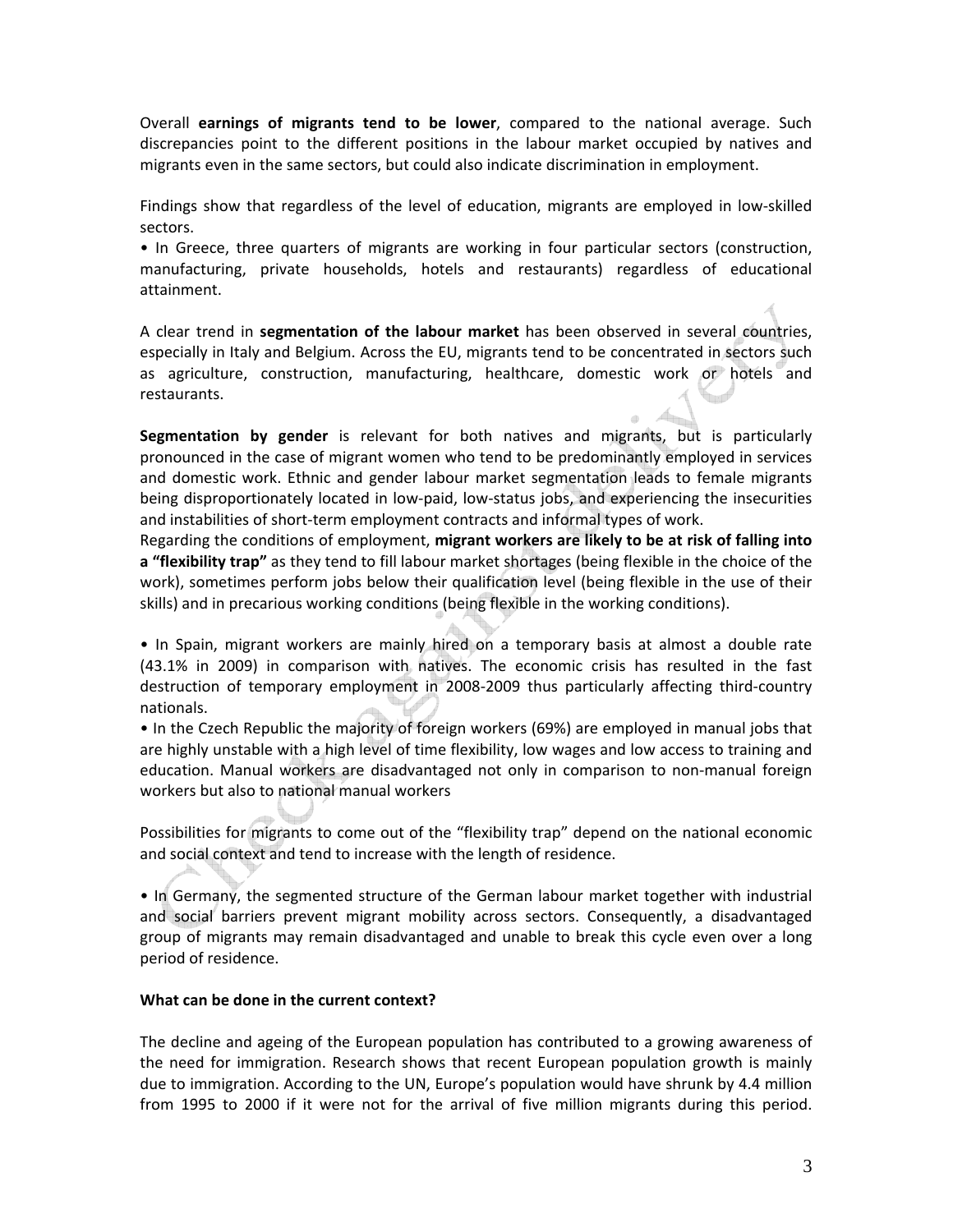Overall **earnings of migrants tend to be lower**, compared to the national average. Such discrepancies point to the different positions in the labour market occupied by natives and migrants even in the same sectors, but could also indicate discrimination in employment.

Findings show that regardless of the level of education, migrants are employed in low‐skilled sectors.

• In Greece, three quarters of migrants are working in four particular sectors (construction, manufacturing, private households, hotels and restaurants) regardless of educational attainment.

A clear trend in **segmentation of the labour market** has been observed in several countries, especially in Italy and Belgium. Across the EU, migrants tend to be concentrated in sectors such as agriculture, construction, manufacturing, healthcare, domestic work or hotels and restaurants.

**Segmentation by gender** is relevant for both natives and migrants, but is particularly pronounced in the case of migrant women who tend to be predominantly employed in services and domestic work. Ethnic and gender labour market segmentation leads to female migrants being disproportionately located in low‐paid, low‐status jobs, and experiencing the insecurities and instabilities of short-term employment contracts and informal types of work.

Regarding the conditions of employment, **migrant workers are likely to be at risk of falling into a "flexibility trap"** as they tend to fill labour market shortages (being flexible in the choice of the work), sometimes perform jobs below their qualification level (being flexible in the use of their skills) and in precarious working conditions (being flexible in the working conditions).

• In Spain, migrant workers are mainly hired on a temporary basis at almost a double rate (43.1% in 2009) in comparison with natives. The economic crisis has resulted in the fast destruction of temporary employment in 2008‐2009 thus particularly affecting third‐country nationals.

• In the Czech Republic the majority of foreign workers (69%) are employed in manual jobs that are highly unstable with a high level of time flexibility, low wages and low access to training and education. Manual workers are disadvantaged not only in comparison to non-manual foreign workers but also to national manual workers

Possibilities for migrants to come out of the "flexibility trap" depend on the national economic and social context and tend to increase with the length of residence.

• In Germany, the segmented structure of the German labour market together with industrial and social barriers prevent migrant mobility across sectors. Consequently, a disadvantaged group of migrants may remain disadvantaged and unable to break this cycle even over a long period of residence.

## **What can be done in the current context?**

The decline and ageing of the European population has contributed to a growing awareness of the need for immigration. Research shows that recent European population growth is mainly due to immigration. According to the UN, Europe's population would have shrunk by 4.4 million from 1995 to 2000 if it were not for the arrival of five million migrants during this period.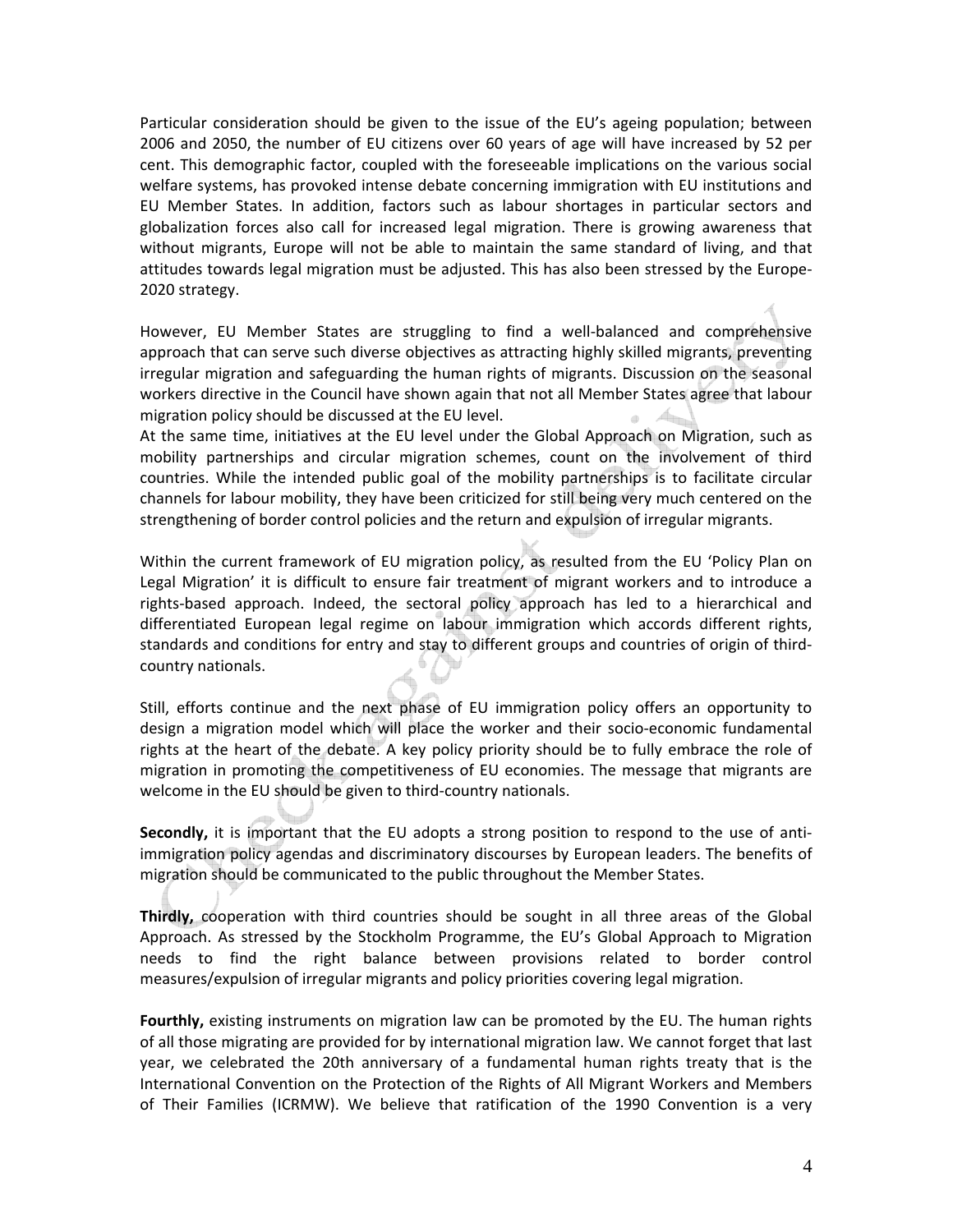Particular consideration should be given to the issue of the EU's ageing population; between 2006 and 2050, the number of EU citizens over 60 years of age will have increased by 52 per cent. This demographic factor, coupled with the foreseeable implications on the various social welfare systems, has provoked intense debate concerning immigration with EU institutions and EU Member States. In addition, factors such as labour shortages in particular sectors and globalization forces also call for increased legal migration. There is growing awareness that without migrants, Europe will not be able to maintain the same standard of living, and that attitudes towards legal migration must be adjusted. This has also been stressed by the Europe‐ 2020 strategy.

However, EU Member States are struggling to find a well-balanced and comprehensive approach that can serve such diverse objectives as attracting highly skilled migrants, preventing irregular migration and safeguarding the human rights of migrants. Discussion on the seasonal workers directive in the Council have shown again that not all Member States agree that labour migration policy should be discussed at the EU level.

At the same time, initiatives at the EU level under the Global Approach on Migration, such as mobility partnerships and circular migration schemes, count on the involvement of third countries. While the intended public goal of the mobility partnerships is to facilitate circular channels for labour mobility, they have been criticized for still being very much centered on the strengthening of border control policies and the return and expulsion of irregular migrants.

Within the current framework of EU migration policy, as resulted from the EU 'Policy Plan on Legal Migration' it is difficult to ensure fair treatment of migrant workers and to introduce a rights‐based approach. Indeed, the sectoral policy approach has led to a hierarchical and differentiated European legal regime on labour immigration which accords different rights, standards and conditions for entry and stay to different groups and countries of origin of third‐ country nationals.

Still, efforts continue and the next phase of EU immigration policy offers an opportunity to design a migration model which will place the worker and their socio‐economic fundamental rights at the heart of the debate. A key policy priority should be to fully embrace the role of migration in promoting the competitiveness of EU economies. The message that migrants are welcome in the EU should be given to third-country nationals.

**Secondly,** it is important that the EU adopts a strong position to respond to the use of anti‐ immigration policy agendas and discriminatory discourses by European leaders. The benefits of migration should be communicated to the public throughout the Member States.

**Thirdly,** cooperation with third countries should be sought in all three areas of the Global Approach. As stressed by the Stockholm Programme, the EU's Global Approach to Migration needs to find the right balance between provisions related to border control measures/expulsion of irregular migrants and policy priorities covering legal migration.

**Fourthly,** existing instruments on migration law can be promoted by the EU. The human rights of all those migrating are provided for by international migration law. We cannot forget that last year, we celebrated the 20th anniversary of a fundamental human rights treaty that is the International Convention on the Protection of the Rights of All Migrant Workers and Members of Their Families (ICRMW). We believe that ratification of the 1990 Convention is a very